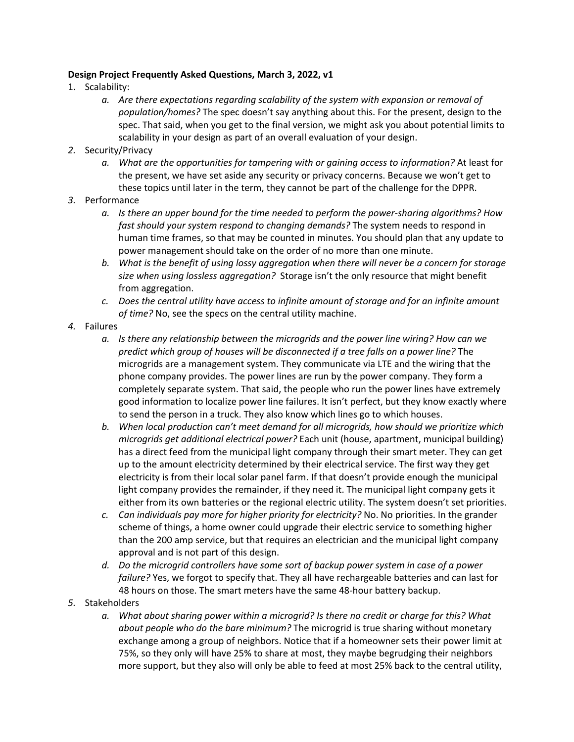## **Design Project Frequently Asked Questions, March 3, 2022, v1**

- 1. Scalability:
	- *a. Are there expectations regarding scalability of the system with expansion or removal of population/homes?* The spec doesn't say anything about this. For the present, design to the spec. That said, when you get to the final version, we might ask you about potential limits to scalability in your design as part of an overall evaluation of your design.
- *2.* Security/Privacy
	- *a. What are the opportunities for tampering with or gaining access to information?* At least for the present, we have set aside any security or privacy concerns. Because we won't get to these topics until later in the term, they cannot be part of the challenge for the DPPR.
- *3.* Performance
	- *a. Is there an upper bound for the time needed to perform the power-sharing algorithms? How fast should your system respond to changing demands?* The system needs to respond in human time frames, so that may be counted in minutes. You should plan that any update to power management should take on the order of no more than one minute.
	- *b. What is the benefit of using lossy aggregation when there will never be a concern for storage size when using lossless aggregation?* Storage isn't the only resource that might benefit from aggregation.
	- *c. Does the central utility have access to infinite amount of storage and for an infinite amount of time?* No, see the specs on the central utility machine.
- *4.* Failures
	- *a. Is there any relationship between the microgrids and the power line wiring? How can we predict which group of houses will be disconnected if a tree falls on a power line?* The microgrids are a management system. They communicate via LTE and the wiring that the phone company provides. The power lines are run by the power company. They form a completely separate system. That said, the people who run the power lines have extremely good information to localize power line failures. It isn't perfect, but they know exactly where to send the person in a truck. They also know which lines go to which houses.
	- *b. When local production can't meet demand for all microgrids, how should we prioritize which microgrids get additional electrical power?* Each unit (house, apartment, municipal building) has a direct feed from the municipal light company through their smart meter. They can get up to the amount electricity determined by their electrical service. The first way they get electricity is from their local solar panel farm. If that doesn't provide enough the municipal light company provides the remainder, if they need it. The municipal light company gets it either from its own batteries or the regional electric utility. The system doesn't set priorities.
	- *c. Can individuals pay more for higher priority for electricity?* No. No priorities. In the grander scheme of things, a home owner could upgrade their electric service to something higher than the 200 amp service, but that requires an electrician and the municipal light company approval and is not part of this design.
	- *d. Do the microgrid controllers have some sort of backup power system in case of a power failure?* Yes, we forgot to specify that. They all have rechargeable batteries and can last for 48 hours on those. The smart meters have the same 48-hour battery backup.
- *5.* Stakeholders
	- *a. What about sharing power within a microgrid? Is there no credit or charge for this? What about people who do the bare minimum?* The microgrid is true sharing without monetary exchange among a group of neighbors. Notice that if a homeowner sets their power limit at 75%, so they only will have 25% to share at most, they maybe begrudging their neighbors more support, but they also will only be able to feed at most 25% back to the central utility,